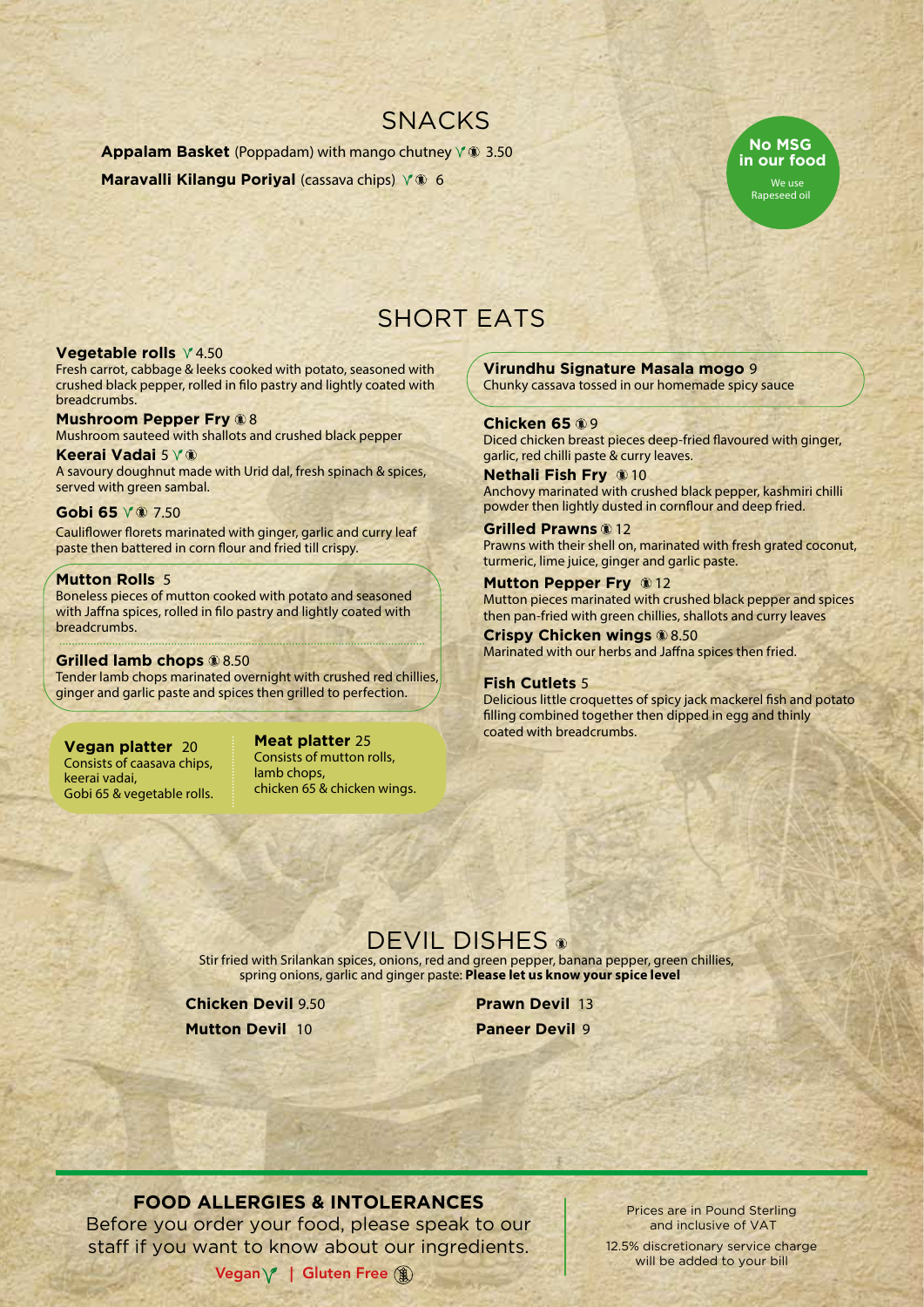## SNACKS

**Appalam Basket** (Poppadam) with mango chutney  $\sqrt{x}$  3.50 **Maravalli Kilangu Poriyal (cassava chips)**  $\sqrt{ }$  6



# SHORT EATS

#### **Vegetable rolls**  $\sqrt{4.50}$

Fresh carrot, cabbage & leeks cooked with potato, seasoned with crushed black pepper, rolled in filo pastry and lightly coated with breadcrumbs.

**Mushroom Pepper Fry 88** Mushroom sauteed with shallots and crushed black pepper **Keerai Vadai** 5

A savoury doughnut made with Urid dal, fresh spinach & spices, served with green sambal.

#### **Gobi 65** 7.50

Cauliflower florets marinated with ginger, garlic and curry leaf paste then battered in corn flour and fried till crispy.

#### **Mutton Rolls** 5

Boneless pieces of mutton cooked with potato and seasoned with Jaffna spices, rolled in filo pastry and lightly coated with breadcrumbs.

#### **Grilled lamb chops** 8.50

Tender lamb chops marinated overnight with crushed red chillies, ginger and garlic paste and spices then grilled to perfection.

#### **Vegan platter** 20

Consists of caasava chips, keerai vadai, Gobi 65 & vegetable rolls. **Meat platter** 25 Consists of mutton rolls, lamb chops, chicken 65 & chicken wings.

**Virundhu Signature Masala mogo** 9 Chunky cassava tossed in our homemade spicy sauce

**Chicken 65** 9 Diced chicken breast pieces deep-fried flavoured with ginger, garlic, red chilli paste & curry leaves.

**Nethali Fish Fry 10** Anchovy marinated with crushed black pepper, kashmiri chilli powder then lightly dusted in cornflour and deep fried.

**Grilled Prawns** 12 Prawns with their shell on, marinated with fresh grated coconut, turmeric, lime juice, ginger and garlic paste.

**Mutton Pepper Fry @12** Mutton pieces marinated with crushed black pepper and spices then pan-fried with green chillies, shallots and curry leaves

**Crispy Chicken wings** 8.50 Marinated with our herbs and Jaffna spices then fried.

#### **Fish Cutlets** 5

Delicious little croquettes of spicy jack mackerel fish and potato filling combined together then dipped in egg and thinly coated with breadcrumbs.

## DEVIL DISHES <sup>®</sup>

Stir fried with Srilankan spices, onions, red and green pepper, banana pepper, green chillies, spring onions, garlic and ginger paste: **Please let us know your spice level**

**Chicken Devil** 9.50

**Mutton Devil** 10

**Prawn Devil** 13 **Paneer Devil** 9

## **FOOD ALLERGIES & INTOLERANCES**

Before you order your food, please speak to our staff if you want to know about our ingredients.

Vegan  $\sqrt{\phantom{a}}$  | Gluten Free ( $\mathbf{\hat{a}}$ )

Prices are in Pound Sterling and inclusive of VAT

12.5% discretionary service charge will be added to your bill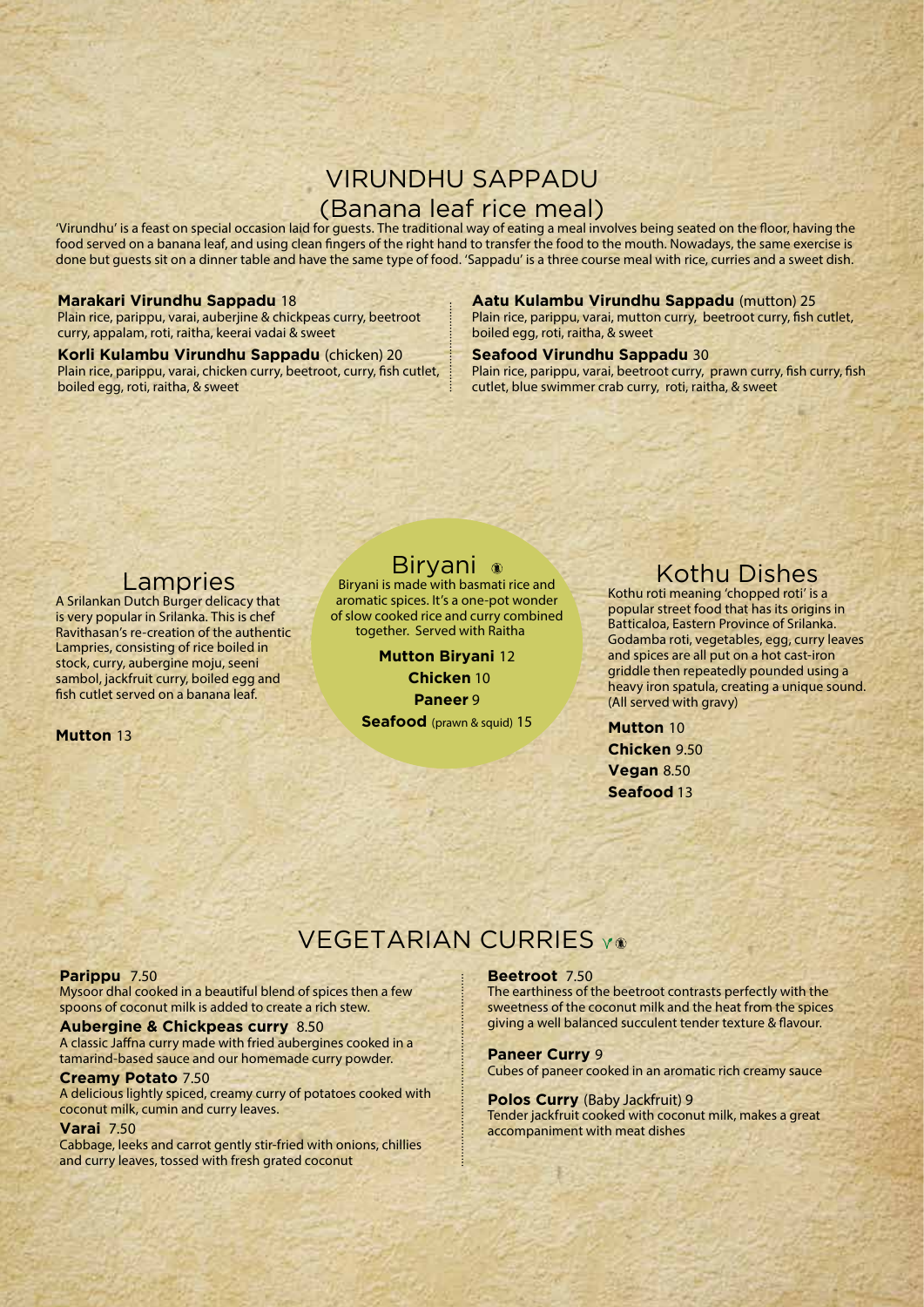## VIRUNDHU SAPPADU (Banana leaf rice meal)

'Virundhu' is a feast on special occasion laid for guests. The traditional way of eating a meal involves being seated on the floor, having the food served on a banana leaf, and using clean fingers of the right hand to transfer the food to the mouth. Nowadays, the same exercise is done but guests sit on a dinner table and have the same type of food. 'Sappadu' is a three course meal with rice, curries and a sweet dish.

#### **Marakari Virundhu Sappadu** 18

Plain rice, parippu, varai, auberjine & chickpeas curry, beetroot curry, appalam, roti, raitha, keerai vadai & sweet

**Korli Kulambu Virundhu Sappadu** (chicken) 20 Plain rice, parippu, varai, chicken curry, beetroot, curry, fish cutlet, boiled egg, roti, raitha, & sweet

#### **Aatu Kulambu Virundhu Sappadu** (mutton) 25

Plain rice, parippu, varai, mutton curry, beetroot curry, fish cutlet, boiled egg, roti, raitha, & sweet

#### **Seafood Virundhu Sappadu** 30

Plain rice, parippu, varai, beetroot curry, prawn curry, fish curry, fish cutlet, blue swimmer crab curry, roti, raitha, & sweet

## Lampries

A Srilankan Dutch Burger delicacy that is very popular in Srilanka. This is chef Ravithasan's re-creation of the authentic Lampries, consisting of rice boiled in stock, curry, aubergine moju, seeni sambol, jackfruit curry, boiled egg and fish cutlet served on a banana leaf.

**Mutton** 13

## Biryani

Biryani is made with basmati rice and aromatic spices. It's a one-pot wonder of slow cooked rice and curry combined together. Served with Raitha

> **Mutton Biryani** 12  **Chicken** 10 **Paneer** 9 **Seafood** (prawn & squid) 15

## Kothu Dishes

Kothu roti meaning 'chopped roti' is a popular street food that has its origins in Batticaloa, Eastern Province of Srilanka. Godamba roti, vegetables, egg, curry leaves and spices are all put on a hot cast-iron griddle then repeatedly pounded using a heavy iron spatula, creating a unique sound. (All served with gravy)

**Mutton** 10 **Chicken** 9.50 **Vegan** 8.50 **Seafood** 13

## **VEGETARIAN CURRIES Y®**

#### **Parippu** 7.50

Mysoor dhal cooked in a beautiful blend of spices then a few spoons of coconut milk is added to create a rich stew.

### **Aubergine & Chickpeas curry** 8.50

A classic Jaffna curry made with fried aubergines cooked in a tamarind-based sauce and our homemade curry powder.

#### **Creamy Potato** 7.50

A delicious lightly spiced, creamy curry of potatoes cooked with coconut milk, cumin and curry leaves.

#### **Varai** 7.50

Cabbage, leeks and carrot gently stir-fried with onions, chillies and curry leaves, tossed with fresh grated coconut

#### **Beetroot** 7.50

The earthiness of the beetroot contrasts perfectly with the sweetness of the coconut milk and the heat from the spices giving a well balanced succulent tender texture & flavour.

#### **Paneer Curry** 9

Cubes of paneer cooked in an aromatic rich creamy sauce

#### **Polos Curry** (Baby Jackfruit) 9

Tender jackfruit cooked with coconut milk, makes a great accompaniment with meat dishes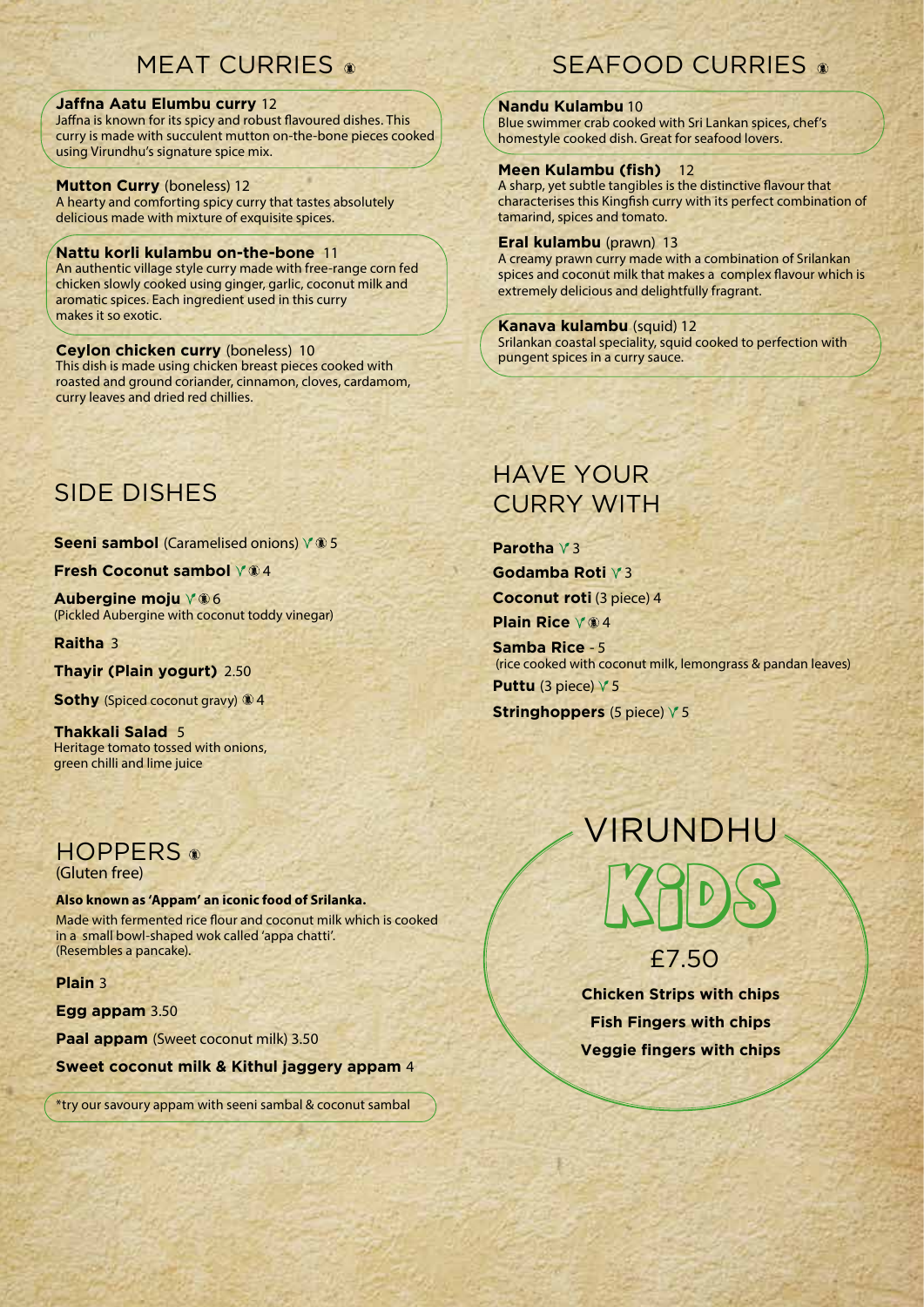## **MEAT CURRIES**

#### **Jaffna Aatu Elumbu curry** 12

Jaffna is known for its spicy and robust flavoured dishes. This curry is made with succulent mutton on-the-bone pieces cooked using Virundhu's signature spice mix.

#### **Mutton Curry** (boneless) 12

A hearty and comforting spicy curry that tastes absolutely delicious made with mixture of exquisite spices.

#### **Nattu korli kulambu on-the-bone** 11

An authentic village style curry made with free-range corn fed chicken slowly cooked using ginger, garlic, coconut milk and aromatic spices. Each ingredient used in this curry makes it so exotic.

#### **Ceylon chicken curry** (boneless) 10

This dish is made using chicken breast pieces cooked with roasted and ground coriander, cinnamon, cloves, cardamom, curry leaves and dried red chillies.

# SEAFOOD CURRIES

#### **Nandu Kulambu** 10

Blue swimmer crab cooked with Sri Lankan spices, chef's homestyle cooked dish. Great for seafood lovers.

#### **Meen Kulambu (fish)** 12

A sharp, yet subtle tangibles is the distinctive flavour that characterises this Kingfish curry with its perfect combination of tamarind, spices and tomato.

#### **Eral kulambu** (prawn) 13

A creamy prawn curry made with a combination of Srilankan spices and coconut milk that makes a complex flavour which is extremely delicious and delightfully fragrant.

#### **Kanava kulambu** (squid) 12

Srilankan coastal speciality, squid cooked to perfection with pungent spices in a curry sauce.

# SIDE DISHES

**Seeni sambol** (Caramelised onions)  $\sqrt{ }$  5

**Fresh Coconut sambol**  $\sqrt{24}$ 

**Aubergine moju** 6 (Pickled Aubergine with coconut toddy vinegar)

**Raitha** 3

**Thayir (Plain yogurt)** 2.50

**Sothy** (Spiced coconut gravy) 14

**Thakkali Salad** 5 Heritage tomato tossed with onions, green chilli and lime juice

# **HOPPERS**

(Gluten free)

**Also known as 'Appam' an iconic food of Srilanka.** 

Made with fermented rice flour and coconut milk which is cooked in a small bowl-shaped wok called 'appa chatti'. (Resembles a pancake).

**Plain** 3

**Egg appam** 3.50

**Paal appam** (Sweet coconut milk) 3.50

**Sweet coconut milk & Kithul jaggery appam** 4

\*try our savoury appam with seeni sambal & coconut sambal

# HAVE YOUR CURRY WITH

**Parotha**  $\sqrt{3}$ Godamba Roti  $\sqrt{3}$ **Coconut roti** (3 piece) 4

**Plain Rice**  $\sqrt{24}$ 

**Samba Rice** - 5 (rice cooked with coconut milk, lemongrass & pandan leaves) **Puttu** (3 piece)  $\sqrt{5}$ 

**Stringhoppers** (5 piece)  $\sqrt{5}$ 

# VIRUNDHU KIDS

£7.50

**Chicken Strips with chips Fish Fingers with chips Veggie fingers with chips**